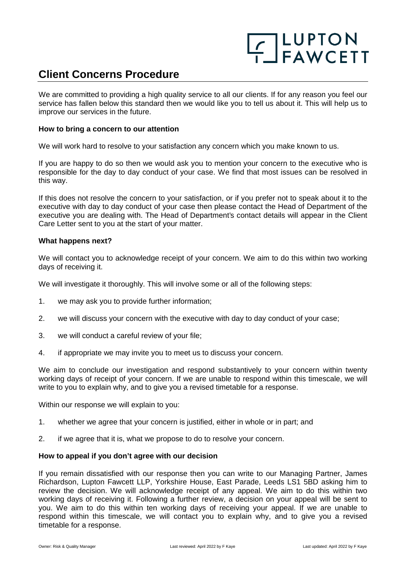# **F**\_LUPTON<br>F\_FAWCETT

### **Client Concerns Procedure**

We are committed to providing a high quality service to all our clients. If for any reason you feel our service has fallen below this standard then we would like you to tell us about it. This will help us to improve our services in the future.

#### **How to bring a concern to our attention**

We will work hard to resolve to your satisfaction any concern which you make known to us.

If you are happy to do so then we would ask you to mention your concern to the executive who is responsible for the day to day conduct of your case. We find that most issues can be resolved in this way.

If this does not resolve the concern to your satisfaction, or if you prefer not to speak about it to the executive with day to day conduct of your case then please contact the Head of Department of the executive you are dealing with. The Head of Department's contact details will appear in the Client Care Letter sent to you at the start of your matter.

#### **What happens next?**

We will contact you to acknowledge receipt of your concern. We aim to do this within two working days of receiving it.

We will investigate it thoroughly. This will involve some or all of the following steps:

- 1. we may ask you to provide further information;
- 2. we will discuss your concern with the executive with day to day conduct of your case;
- 3. we will conduct a careful review of your file;
- 4. if appropriate we may invite you to meet us to discuss your concern.

We aim to conclude our investigation and respond substantively to your concern within twenty working days of receipt of your concern. If we are unable to respond within this timescale, we will write to you to explain why, and to give you a revised timetable for a response.

Within our response we will explain to you:

- 1. whether we agree that your concern is justified, either in whole or in part; and
- 2. if we agree that it is, what we propose to do to resolve your concern.

#### **How to appeal if you don't agree with our decision**

If you remain dissatisfied with our response then you can write to our Managing Partner, James Richardson, Lupton Fawcett LLP, Yorkshire House, East Parade, Leeds LS1 5BD asking him to review the decision. We will acknowledge receipt of any appeal. We aim to do this within two working days of receiving it. Following a further review, a decision on your appeal will be sent to you. We aim to do this within ten working days of receiving your appeal. If we are unable to respond within this timescale, we will contact you to explain why, and to give you a revised timetable for a response.